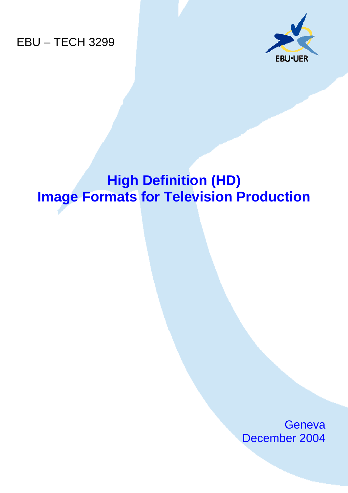EBU – TECH 3299



# **High Definition (HD) Image Formats for Television Production**

**Geneva** December 2004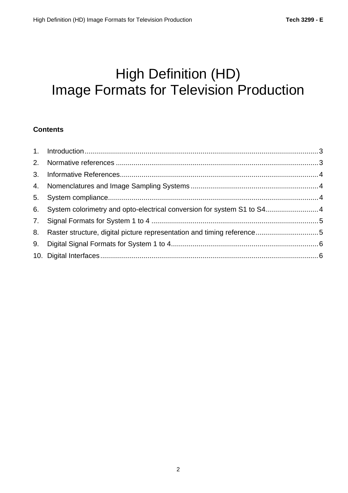# High Definition (HD) Image Formats for Television Production

## **Contents**

| 6. System colorimetry and opto-electrical conversion for system S1 to S4 4 |  |
|----------------------------------------------------------------------------|--|
|                                                                            |  |
|                                                                            |  |
|                                                                            |  |
|                                                                            |  |
|                                                                            |  |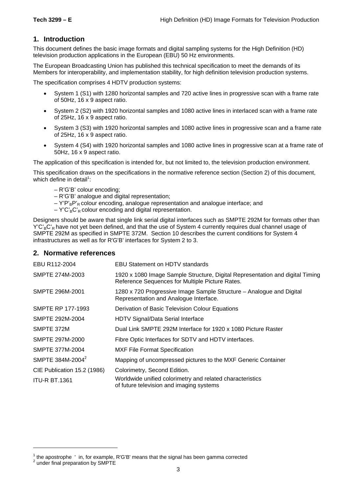### **1. Introduction**

This document defines the basic image formats and digital sampling systems for the High Definition (HD) television production applications in the European (EBU) 50 Hz environments.

The European Broadcasting Union has published this technical specification to meet the demands of its Members for interoperability, and implementation stability, for high definition television production systems.

The specification comprises 4 HDTV production systems:

- System 1 (S1) with 1280 horizontal samples and 720 active lines in progressive scan with a frame rate of 50Hz, 16 x 9 aspect ratio.
- System 2 (S2) with 1920 horizontal samples and 1080 active lines in interlaced scan with a frame rate of 25Hz, 16 x 9 aspect ratio.
- System 3 (S3) with 1920 horizontal samples and 1080 active lines in progressive scan and a frame rate of 25Hz, 16 x 9 aspect ratio.
- System 4 (S4) with 1920 horizontal samples and 1080 active lines in progressive scan at a frame rate of 50Hz, 16 x 9 aspect ratio.

The application of this specification is intended for, but not limited to, the television production environment.

This specification draws on the specifications in the normative reference section (Section 2) of this document, which define in detail<sup>1</sup>:

- R'G'B' colour encoding;
- R'G'B' analogue and digital representation;
- $-V'P'_BP'_B$  colour encoding, analogue representation and analogue interface; and
- $-$  Y'C'<sub>B</sub>C'<sub>R</sub> colour encoding and digital representation.

Designers should be aware that single link serial digital interfaces such as SMPTE 292M for formats other than  $Y'C'_{B}C'_{B}$  have not yet been defined, and that the use of System 4 currently requires dual channel usage of SMPTE 292M as specified in SMPTE 372M. Section 10 describes the current conditions for System 4 infrastructures as well as for R'G'B' interfaces for System 2 to 3.

#### **2. Normative references**

| EBU R112-2004                | <b>EBU Statement on HDTV standards</b>                                                                                           |
|------------------------------|----------------------------------------------------------------------------------------------------------------------------------|
| SMPTE 274M-2003              | 1920 x 1080 Image Sample Structure, Digital Representation and digital Timing<br>Reference Sequences for Multiple Picture Rates. |
| SMPTE 296M-2001              | 1280 x 720 Progressive Image Sample Structure - Analogue and Digital<br>Representation and Analogue Interface.                   |
| SMPTE RP 177-1993            | Derivation of Basic Television Colour Equations                                                                                  |
| SMPTE 292M-2004              | HDTV Signal/Data Serial Interface                                                                                                |
| SMPTE 372M                   | Dual Link SMPTE 292M Interface for 1920 x 1080 Picture Raster                                                                    |
| SMPTE 297M-2000              | Fibre Optic Interfaces for SDTV and HDTV interfaces.                                                                             |
| SMPTE 377M-2004              | <b>MXF File Format Specification</b>                                                                                             |
| SMPTE 384M-2004 <sup>2</sup> | Mapping of uncompressed pictures to the MXF Generic Container                                                                    |
| CIE Publication 15.2 (1986)  | Colorimetry, Second Edition.                                                                                                     |
| <b>ITU-R BT.1361</b>         | Worldwide unified colorimetry and related characteristics<br>of future television and imaging systems                            |

l

<sup>&</sup>lt;sup>1</sup> the apostrophe ' in, for example, R'G'B' means that the signal has been gamma corrected<br><sup>2</sup> under final properation by SMDTE

<sup>&</sup>lt;sup>2</sup> under final preparation by SMPTE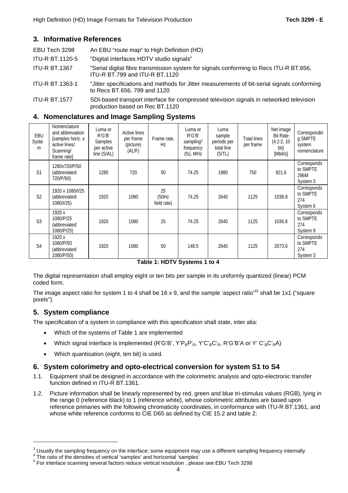#### **3. Informative References**

| EBU Tech 3298          | An EBU "route map" to High Definition (HD)                                                                                  |
|------------------------|-----------------------------------------------------------------------------------------------------------------------------|
| <b>ITU-R BT.1120-5</b> | "Digital interfaces HDTV studio signals"                                                                                    |
| <b>ITU-R BT.1367</b>   | "Serial digital fibre transmission system for signals conforming to Recs ITU-R BT.656,<br>ITU-R BT.799 and ITU-R BT.1120    |
| <b>ITU-R BT.1363-1</b> | "Jitter specifications and methods for Jitter measurements of bit-serial signals conforming<br>to Recs BT.656, 799 and 1120 |

ITU-R BT.1577 SDI-based transport interface for compressed television signals in networked television production based on Rec BT.1120

#### **4. Nomenclatures and Image Sampling Systems**

| EBU<br>Syste<br>m | Nomenclature<br>and abbreviation<br>[samples horiz. x<br>active lines/<br>Scanning/<br>frame rate | Luma or<br>R'G'B'<br><b>Samples</b><br>per active<br>line (S/AL) | <b>Active lines</b><br>per frame<br>(picture)<br>(AL/F) | Frame rate,<br>Hz          | Luma or<br>R'G'B'<br>sampling $3$<br>frequency<br>$(fs)$ , MHz | Luma<br>sample<br>periods per<br>total line<br>(S/TL) | <b>Total lines</b><br>per frame | Net image<br><b>Bit Rate</b><br>(4:2:2, 10)<br>bit)<br>[Mbit/s] | Correspondin<br>g SMPTE<br>system<br>nomenclature |
|-------------------|---------------------------------------------------------------------------------------------------|------------------------------------------------------------------|---------------------------------------------------------|----------------------------|----------------------------------------------------------------|-------------------------------------------------------|---------------------------------|-----------------------------------------------------------------|---------------------------------------------------|
| S <sub>1</sub>    | 1280x720/P/50<br>(abbreviated:<br>720/P/50)                                                       | 1280                                                             | 720                                                     | 50                         | 74.25                                                          | 1980                                                  | 750                             | 921.6                                                           | Corresponds<br>to SMPTE<br>296M<br>System 3       |
| S <sub>2</sub>    | 1920 x 1080/I/25<br>(abbreviated:<br>1080/I/25)                                                   | 1920                                                             | 1080                                                    | 25<br>(50Hz<br>field rate) | 74.25                                                          | 2640                                                  | 1125                            | 1036.8                                                          | Corresponds<br>to SMPTE<br>274<br>System 6        |
| S <sub>3</sub>    | 1920 x<br>1080/P/25<br>(abbreviated:<br>1080/P/25)                                                | 1920                                                             | 1080                                                    | 25                         | 74.25                                                          | 2640                                                  | 1125                            | 1036.8                                                          | Corresponds<br>to SMPTE<br>274<br>System 9        |
| S <sub>4</sub>    | 1920 x<br>1080/P/50<br>(abbreviated:<br>1080/P/50)                                                | 1920                                                             | 1080                                                    | 50                         | 148.5                                                          | 2640                                                  | 1125                            | 2073.6                                                          | Corresponds<br>to SMPTE<br>274<br>System 3        |

**Table 1: HDTV Systems 1 to 4**

The digital representation shall employ eight or ten bits per sample in its uniformly quantized (linear) PCM coded form.

The image aspect ratio for system 1 to 4 shall be 16 x 9, and the sample 'aspect ratio'<sup>45</sup> shall be 1x1 ("square pixels").

#### **5. System compliance**

l

The specification of a system in compliance with this specification shall state, inter alia:

- Which of the systems of Table 1 are implemented
- Which signal interface is implemented (R'G'B', Y'P<sub>B</sub>P'<sub>R</sub>, Y'C'<sub>B</sub>C'<sub>R</sub>, R'G'B'A or Y' C'<sub>B</sub>C'<sub>R</sub>A)
- Which quantisation (eight, ten bit) is used.

#### **6. System colorimetry and opto-electrical conversion for system S1 to S4**

- 1.1. Equipment shall be designed in accordance with the colorimetric analysis and opto-electronic transfer function defined in ITU-R BT.1361.
- 1.2. Picture information shall be linearly represented by red, green and blue tri-stimulus values (RGB), lying in the range 0 (reference black) to 1 (reference white), whose colorimetric attributes are based upon reference primaries with the following chromaticity coordinates, in conformance with ITU-R BT.1361, and whose white reference conforms to CIE D65 as defined by CIE 15.2 and table 2:

<sup>&</sup>lt;sup>3</sup> Usually the sampling frequency on the interface; some equipment may use a different sampling frequency internally  $4$ <sup>4</sup> The ratio of the densities of vartical increases' and betizental increases'

 $\frac{4}{5}$  The ratio of the densities of vertical 'samples' and horizontal 'samples'<br> $\frac{5}{5}$  For interlace acopaing equatel factors reduce vertical resolution. place

For interlace scanning several factors reduce vertical resolution, please see EBU Tech 3298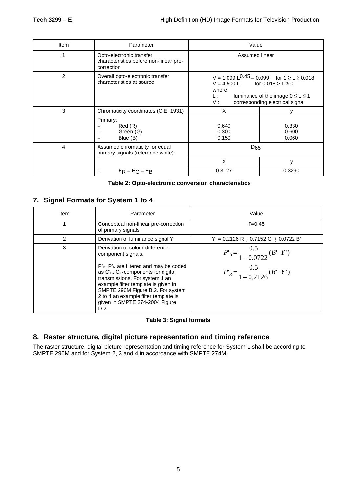| Item | Parameter                                                                        | Value                                                      |                                                                                                                                    |  |
|------|----------------------------------------------------------------------------------|------------------------------------------------------------|------------------------------------------------------------------------------------------------------------------------------------|--|
|      | Opto-electronic transfer<br>characteristics before non-linear pre-<br>correction | Assumed linear                                             |                                                                                                                                    |  |
| 2    | Overall opto-electronic transfer<br>characteristics at source                    | $V = 4.500$ L for $0.018 > L \ge 0$<br>where:<br>L:<br>V : | V = 1.099 L <sup>0.45</sup> – 0.099 for 1 ≥ L ≥ 0.018<br>luminance of the image $0 \le L \le 1$<br>corresponding electrical signal |  |
| 3    | Chromaticity coordinates (CIE, 1931)                                             | X                                                          | ٧                                                                                                                                  |  |
|      | Primary:<br>Red(R)<br>Green (G)<br>Blue (B)                                      | 0.640<br>0.300<br>0.150                                    | 0.330<br>0.600<br>0.060                                                                                                            |  |
| 4    | Assumed chromaticity for equal<br>primary signals (reference white):             | $D_{65}$                                                   |                                                                                                                                    |  |
|      |                                                                                  | X                                                          | $\vee$                                                                                                                             |  |
|      | $E_R = E_G = E_R$                                                                | 0.3127                                                     | 0.3290                                                                                                                             |  |

| Table 2: Opto-electronic conversion characteristics |  |  |  |  |
|-----------------------------------------------------|--|--|--|--|
|-----------------------------------------------------|--|--|--|--|

## **7. Signal Formats for System 1 to 4**

| ltem | Parameter                                                                                                                                                                                                                                                                                | Value                                     |
|------|------------------------------------------------------------------------------------------------------------------------------------------------------------------------------------------------------------------------------------------------------------------------------------------|-------------------------------------------|
|      | Conceptual non-linear pre-correction<br>of primary signals                                                                                                                                                                                                                               | $\Gamma = 0.45$                           |
| 2    | Derivation of luminance signal Y'                                                                                                                                                                                                                                                        | $Y' = 0.2126 R + 0.7152 G' + 0.0722 B'$   |
| 3    | Derivation of colour-difference<br>component signals.                                                                                                                                                                                                                                    | $P'_B = \frac{0.5}{1 - 0.0722} (B' - Y')$ |
|      | $P'_B$ , $P'_R$ are filtered and may be coded<br>as $C_B$ , $C_R$ components for digital<br>transmissions. For system 1 an<br>example filter template is given in<br>SMPTE 296M Figure B.2. For system<br>2 to 4 an example filter template is<br>given in SMPTE 274-2004 Figure<br>D.2. | $P'_R = \frac{0.5}{1 - 0.2126} (R' - Y')$ |

#### **Table 3: Signal formats**

## **8. Raster structure, digital picture representation and timing reference**

The raster structure, digital picture representation and timing reference for System 1 shall be according to SMPTE 296M and for System 2, 3 and 4 in accordance with SMPTE 274M.